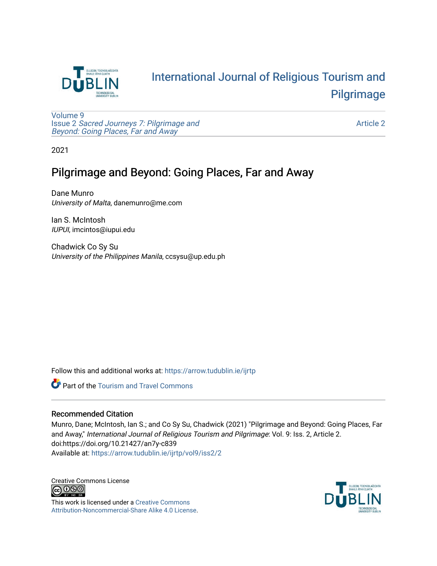

# [International Journal of Religious Tourism and](https://arrow.tudublin.ie/ijrtp)  [Pilgrimage](https://arrow.tudublin.ie/ijrtp)

[Volume 9](https://arrow.tudublin.ie/ijrtp/vol9) Issue 2 [Sacred Journeys 7: Pilgrimage and](https://arrow.tudublin.ie/ijrtp/vol9/iss2)  [Beyond: Going Places, Far and Away](https://arrow.tudublin.ie/ijrtp/vol9/iss2)

[Article 2](https://arrow.tudublin.ie/ijrtp/vol9/iss2/2) 

2021

## Pilgrimage and Beyond: Going Places, Far and Away

Dane Munro University of Malta, danemunro@me.com

Ian S. McIntosh IUPUI, imcintos@iupui.edu

Chadwick Co Sy Su University of the Philippines Manila, ccsysu@up.edu.ph

Follow this and additional works at: [https://arrow.tudublin.ie/ijrtp](https://arrow.tudublin.ie/ijrtp?utm_source=arrow.tudublin.ie%2Fijrtp%2Fvol9%2Fiss2%2F2&utm_medium=PDF&utm_campaign=PDFCoverPages)

**Part of the [Tourism and Travel Commons](http://network.bepress.com/hgg/discipline/1082?utm_source=arrow.tudublin.ie%2Fijrtp%2Fvol9%2Fiss2%2F2&utm_medium=PDF&utm_campaign=PDFCoverPages)** 

### Recommended Citation

Munro, Dane; McIntosh, Ian S.; and Co Sy Su, Chadwick (2021) "Pilgrimage and Beyond: Going Places, Far and Away," International Journal of Religious Tourism and Pilgrimage: Vol. 9: Iss. 2, Article 2. doi:https://doi.org/10.21427/an7y-c839 Available at: [https://arrow.tudublin.ie/ijrtp/vol9/iss2/2](https://arrow.tudublin.ie/ijrtp/vol9/iss2/2?utm_source=arrow.tudublin.ie%2Fijrtp%2Fvol9%2Fiss2%2F2&utm_medium=PDF&utm_campaign=PDFCoverPages)

Creative Commons License<br>  $\bigcirc$  000

This work is licensed under a [Creative Commons](https://creativecommons.org/licenses/by-nc-sa/4.0/) [Attribution-Noncommercial-Share Alike 4.0 License](https://creativecommons.org/licenses/by-nc-sa/4.0/).

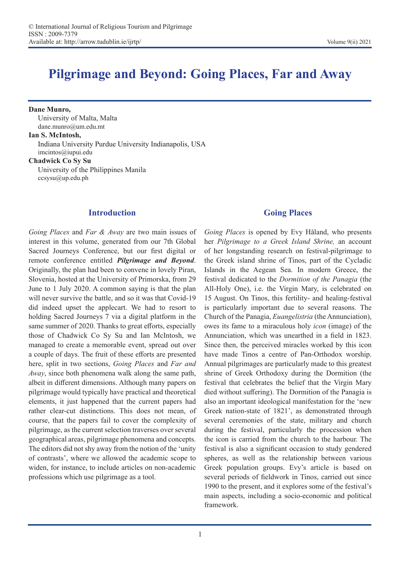## **Pilgrimage and Beyond: Going Places, Far and Away**

**Dane Munro,**  University of Malta, Malta dane.munro@um.edu.mt

#### **Ian S. McIntosh,**

Indiana University Purdue University Indianapolis, USA imcintos@iupui.edu

**Chadwick Co Sy Su**

University of the Philippines Manila ccsysu@up.edu.ph

### **Introduction**

*Going Places* and *Far & Away* are two main issues of interest in this volume, generated from our 7th Global Sacred Journeys Conference, but our first digital or remote conference entitled *Pilgrimage and Beyond*. Originally, the plan had been to convene in lovely Piran, Slovenia, hosted at the University of Primorska, from 29 June to 1 July 2020. A common saying is that the plan will never survive the battle, and so it was that Covid-19 did indeed upset the applecart. We had to resort to holding Sacred Journeys 7 via a digital platform in the same summer of 2020. Thanks to great efforts, especially those of Chadwick Co Sy Su and Ian McIntosh, we managed to create a memorable event, spread out over a couple of days. The fruit of these efforts are presented here, split in two sections, *Going Places* and *Far and Away*, since both phenomena walk along the same path, albeit in different dimensions. Although many papers on pilgrimage would typically have practical and theoretical elements, it just happened that the current papers had rather clear-cut distinctions. This does not mean, of course, that the papers fail to cover the complexity of pilgrimage, as the current selection traverses over several geographical areas, pilgrimage phenomena and concepts. The editors did not shy away from the notion of the 'unity of contrasts', where we allowed the academic scope to widen, for instance, to include articles on non-academic professions which use pilgrimage as a tool.

## **Going Places**

*Going Places* is opened by Evy Håland, who presents her *Pilgrimage to a Greek Island Shrine,* an account of her longstanding research on festival-pilgrimage to the Greek island shrine of Tinos, part of the Cycladic Islands in the Aegean Sea. In modern Greece, the festival dedicated to the *Dormition of the Panagia* (the All-Holy One), i.e. the Virgin Mary, is celebrated on 15 August. On Tinos, this fertility- and healing-festival is particularly important due to several reasons. The Church of the Panagia, *Euangelistria* (the Annunciation), owes its fame to a miraculous holy *icon* (image) of the Annunciation, which was unearthed in a field in 1823. Since then, the perceived miracles worked by this icon have made Tinos a centre of Pan-Orthodox worship. Annual pilgrimages are particularly made to this greatest shrine of Greek Orthodoxy during the Dormition (the festival that celebrates the belief that the Virgin Mary died without suffering). The Dormition of the Panagia is also an important ideological manifestation for the 'new Greek nation-state of 1821', as demonstrated through several ceremonies of the state, military and church during the festival, particularly the procession when the icon is carried from the church to the harbour. The festival is also a significant occasion to study gendered spheres, as well as the relationship between various Greek population groups. Evy's article is based on several periods of fieldwork in Tinos, carried out since 1990 to the present, and it explores some of the festival's main aspects, including a socio-economic and political framework.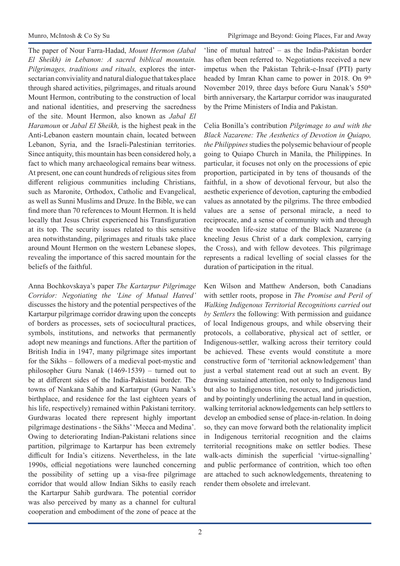The paper of Nour Farra-Hadad, *Mount Hermon (Jabal El Sheikh) in Lebanon: A sacred biblical mountain. Pilgrimages, traditions and rituals,* explores the intersectarian conviviality and natural dialogue that takes place through shared activities, pilgrimages, and rituals around Mount Hermon, contributing to the construction of local and national identities, and preserving the sacredness of the site. Mount Hermon, also known as *Jabal El Haramoun* or *Jabal El Sheikh,* is the highest peak in the Anti-Lebanon eastern mountain chain, located between Lebanon, Syria, and the Israeli-Palestinian territories. Since antiquity, this mountain has been considered holy, a fact to which many archaeological remains bear witness. At present, one can count hundreds of religious sites from different religious communities including Christians, such as Maronite, Orthodox, Catholic and Evangelical, as well as Sunni Muslims and Druze. In the Bible, we can find more than 70 references to Mount Hermon. It is held locally that Jesus Christ experienced his Transfiguration at its top. The security issues related to this sensitive area notwithstanding, pilgrimages and rituals take place around Mount Hermon on the western Lebanese slopes, revealing the importance of this sacred mountain for the beliefs of the faithful.

Anna Bochkovskaya's paper *The Kartarpur Pilgrimage Corridor: Negotiating the 'Line of Mutual Hatred'* discusses the history and the potential perspectives of the Kartarpur pilgrimage corridor drawing upon the concepts of borders as processes, sets of sociocultural practices, symbols, institutions, and networks that permanently adopt new meanings and functions. After the partition of British India in 1947, many pilgrimage sites important for the Sikhs – followers of a medieval poet-mystic and philosopher Guru Nanak (1469-1539) – turned out to be at different sides of the India-Pakistani border. The towns of Nankana Sahib and Kartarpur (Guru Nanak's birthplace, and residence for the last eighteen years of his life, respectively) remained within Pakistani territory. Gurdwaras located there represent highly important pilgrimage destinations - the Sikhs' 'Mecca and Medina'. Owing to deteriorating Indian-Pakistani relations since partition, pilgrimage to Kartarpur has been extremely difficult for India's citizens. Nevertheless, in the late 1990s, official negotiations were launched concerning the possibility of setting up a visa-free pilgrimage corridor that would allow Indian Sikhs to easily reach the Kartarpur Sahib gurdwara. The potential corridor was also perceived by many as a channel for cultural cooperation and embodiment of the zone of peace at the

'line of mutual hatred' – as the India-Pakistan border has often been referred to. Negotiations received a new impetus when the Pakistan Tehrik-e-Insaf (PTI) party headed by Imran Khan came to power in 2018. On 9<sup>th</sup> November 2019, three days before Guru Nanak's 550<sup>th</sup> birth anniversary, the Kartarpur corridor was inaugurated by the Prime Ministers of India and Pakistan.

Celia Bonilla's contribution *Pilgrimage to and with the Black Nazarene: The Aesthetics of Devotion in Quiapo, the Philippines* studies the polysemic behaviour of people going to Quiapo Church in Manila, the Philippines. In particular, it focuses not only on the processions of epic proportion, participated in by tens of thousands of the faithful, in a show of devotional fervour, but also the aesthetic experience of devotion, capturing the embodied values as annotated by the pilgrims. The three embodied values are a sense of personal miracle, a need to reciprocate, and a sense of community with and through the wooden life-size statue of the Black Nazarene (a kneeling Jesus Christ of a dark complexion, carrying the Cross), and with fellow devotees. This pilgrimage represents a radical levelling of social classes for the duration of participation in the ritual.

Ken Wilson and Matthew Anderson, both Canadians with settler roots, propose in *The Promise and Peril of Walking Indigenous Territorial Recognitions carried out by Settlers* the following: With permission and guidance of local Indigenous groups, and while observing their protocols, a collaborative, physical act of settler, or Indigenous-settler, walking across their territory could be achieved. These events would constitute a more constructive form of 'territorial acknowledgement' than just a verbal statement read out at such an event. By drawing sustained attention, not only to Indigenous land but also to Indigenous title, resources, and jurisdiction, and by pointingly underlining the actual land in question, walking territorial acknowledgements can help settlers to develop an embodied sense of place-in-relation. In doing so, they can move forward both the relationality implicit in Indigenous territorial recognition and the claims territorial recognitions make on settler bodies. These walk-acts diminish the superficial 'virtue-signalling' and public performance of contrition, which too often are attached to such acknowledgements, threatening to render them obsolete and irrelevant.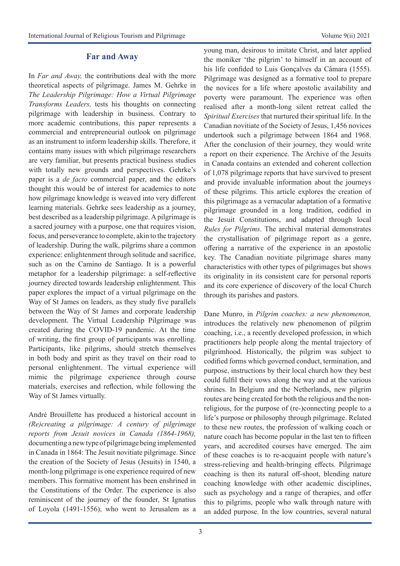#### **Far and Away**

In *Far and Away,* the contributions deal with the more theoretical aspects of pilgrimage. James M. Gehrke in *The Leadership Pilgrimage: How a Virtual Pilgrimage Transforms Leaders,* tests his thoughts on connecting pilgrimage with leadership in business. Contrary to more academic contributions, this paper represents a commercial and entrepreneurial outlook on pilgrimage as an instrument to inform leadership skills. Therefore, it contains many issues with which pilgrimage researchers are very familiar, but presents practical business studies with totally new grounds and perspectives. Gehrke's paper is a *de facto* commercial paper, and the editors thought this would be of interest for academics to note how pilgrimage knowledge is weaved into very different learning materials. Gehrke sees leadership as a journey, best described as a leadership pilgrimage. A pilgrimage is a sacred journey with a purpose, one that requires vision, focus, and perseverance to complete, akin to the trajectory of leadership. During the walk, pilgrims share a common experience: enlightenment through solitude and sacrifice, such as on the Camino de Santiago. It is a powerful metaphor for a leadership pilgrimage: a self-reflective journey directed towards leadership enlightenment. This paper explores the impact of a virtual pilgrimage on the Way of St James on leaders, as they study five parallels between the Way of St James and corporate leadership development. The Virtual Leadership Pilgrimage was created during the COVID-19 pandemic. At the time of writing, the first group of participants was enrolling. Participants, like pilgrims, should stretch themselves in both body and spirit as they travel on their road to personal enlightenment. The virtual experience will mimic the pilgrimage experience through course materials, exercises and reflection, while following the Way of St James virtually.

André Brouillette has produced a historical account in *(Re)creating a pilgrimage: A century of pilgrimage reports from Jesuit novices in Canada (1864-1968),*  documenting a new type of pilgrimage being implemented in Canada in 1864: The Jesuit novitiate pilgrimage. Since the creation of the Society of Jesus (Jesuits) in 1540, a month-long pilgrimage is one experience required of new members. This formative moment has been enshrined in the Constitutions of the Order. The experience is also reminiscent of the journey of the founder, St Ignatius of Loyola (1491-1556), who went to Jerusalem as a young man, desirous to imitate Christ, and later applied the moniker 'the pilgrim' to himself in an account of his life confided to Luis Gonçalves da Câmara (1555). Pilgrimage was designed as a formative tool to prepare the novices for a life where apostolic availability and poverty were paramount. The experience was often realised after a month-long silent retreat called the *Spiritual Exercises* that nurtured their spiritual life. In the Canadian novitiate of the Society of Jesus, 1,456 novices undertook such a pilgrimage between 1864 and 1968. After the conclusion of their journey, they would write a report on their experience. The Archive of the Jesuits in Canada contains an extended and coherent collection of 1,078 pilgrimage reports that have survived to present and provide invaluable information about the journeys of these pilgrims. This article explores the creation of this pilgrimage as a vernacular adaptation of a formative pilgrimage grounded in a long tradition, codified in the Jesuit Constitutions, and adapted through local *Rules for Pilgrims*. The archival material demonstrates the crystallisation of pilgrimage report as a genre, offering a narrative of the experience in an apostolic key. The Canadian novitiate pilgrimage shares many characteristics with other types of pilgrimages but shows its originality in its consistent care for personal reports and its core experience of discovery of the local Church through its parishes and pastors.

Dane Munro, in *Pilgrim coaches: a new phenomenon,*  introduces the relatively new phenomenon of pilgrim coaching, i.e., a recently developed profession, in which practitioners help people along the mental trajectory of pilgrimhood. Historically, the pilgrim was subject to codified forms which governed conduct, termination, and purpose, instructions by their local church how they best could fulfil their vows along the way and at the various shrines. In Belgium and the Netherlands, new pilgrim routes are being created for both the religious and the nonreligious, for the purpose of (re-)connecting people to a life's purpose or philosophy through pilgrimage. Related to these new routes, the profession of walking coach or nature coach has become popular in the last ten to fifteen years, and accredited courses have emerged. The aim of these coaches is to re-acquaint people with nature's stress-relieving and health-bringing effects. Pilgrimage coaching is then its natural off-shoot, blending nature coaching knowledge with other academic disciplines, such as psychology and a range of therapies, and offer this to pilgrims, people who walk through nature with an added purpose. In the low countries, several natural